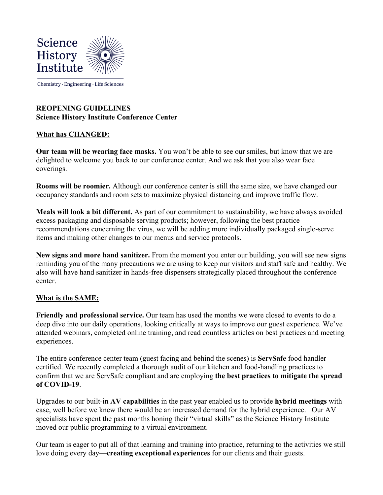

Chemistry · Engineering · Life Sciences

## **REOPENING GUIDELINES Science History Institute Conference Center**

## **What has CHANGED:**

**Our team will be wearing face masks.** You won't be able to see our smiles, but know that we are delighted to welcome you back to our conference center. And we ask that you also wear face coverings.

**Rooms will be roomier.** Although our conference center is still the same size, we have changed our occupancy standards and room sets to maximize physical distancing and improve traffic flow.

**Meals will look a bit different.** As part of our commitment to sustainability, we have always avoided excess packaging and disposable serving products; however, following the best practice recommendations concerning the virus, we will be adding more individually packaged single-serve items and making other changes to our menus and service protocols.

**New signs and more hand sanitizer.** From the moment you enter our building, you will see new signs reminding you of the many precautions we are using to keep our visitors and staff safe and healthy. We also will have hand sanitizer in hands-free dispensers strategically placed throughout the conference center.

## **What is the SAME:**

**Friendly and professional service.** Our team has used the months we were closed to events to do a deep dive into our daily operations, looking critically at ways to improve our guest experience. We've attended webinars, completed online training, and read countless articles on best practices and meeting experiences.

The entire conference center team (guest facing and behind the scenes) is **ServSafe** food handler certified. We recently completed a thorough audit of our kitchen and food-handling practices to confirm that we are ServSafe compliant and are employing **the best practices to mitigate the spread of COVID-19**.

Upgrades to our built-in **AV capabilities** in the past year enabled us to provide **hybrid meetings** with ease, well before we knew there would be an increased demand for the hybrid experience. Our AV specialists have spent the past months honing their "virtual skills" as the Science History Institute moved our public programming to a virtual environment.

Our team is eager to put all of that learning and training into practice, returning to the activities we still love doing every day—**creating exceptional experiences** for our clients and their guests.